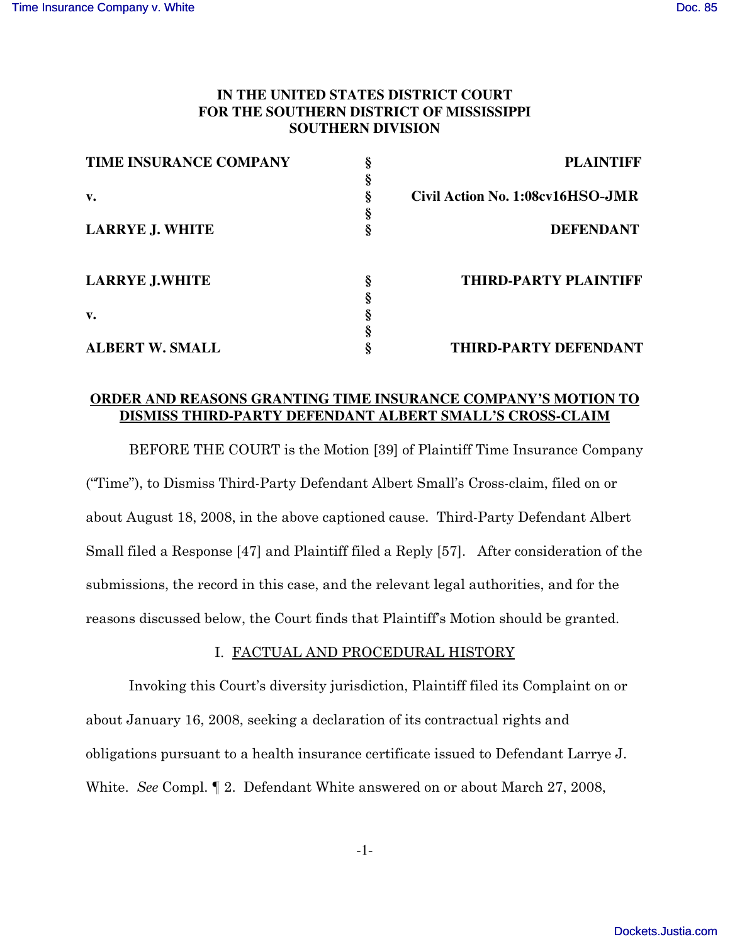# **IN THE UNITED STATES DISTRICT COURT FOR THE SOUTHERN DISTRICT OF MISSISSIPPI SOUTHERN DIVISION**

| TIME INSURANCE COMPANY |   | <b>PLAINTIFF</b>                 |
|------------------------|---|----------------------------------|
|                        |   |                                  |
| $\mathbf{v}$ .         |   | Civil Action No. 1:08cv16HSO-JMR |
|                        |   |                                  |
| <b>LARRYE J. WHITE</b> |   | <b>DEFENDANT</b>                 |
|                        |   |                                  |
| <b>LARRYE J.WHITE</b>  | 8 | <b>THIRD-PARTY PLAINTIFF</b>     |
|                        |   |                                  |
| v.                     |   |                                  |
|                        |   |                                  |
| <b>ALBERT W. SMALL</b> |   | THIRD-PARTY DEFENDANT            |

# **ORDER AND REASONS GRANTING TIME INSURANCE COMPANY'S MOTION TO DISMISS THIRD-PARTY DEFENDANT ALBERT SMALL'S CROSS-CLAIM**

BEFORE THE COURT is the Motion [39] of Plaintiff Time Insurance Company ("Time"), to Dismiss Third-Party Defendant Albert Small's Cross-claim, filed on or about August 18, 2008, in the above captioned cause. Third-Party Defendant Albert Small filed a Response  $[47]$  and Plaintiff filed a Reply  $[57]$ . After consideration of the submissions, the record in this case, and the relevant legal authorities, and for the reasons discussed below, the Court finds that Plaintiff's Motion should be granted.

# I. <u>FACTUAL AND PROCEDURAL HISTORY</u>

Invoking this Court's diversity jurisdiction, Plaintiff filed its Complaint on or about January 16, 2008, seeking a declaration of its contractual rights and obligations pursuant to a health insurance certificate issued to Defendant Larrye J. White. See Compl.  $\P$  2. Defendant White answered on or about March 27, 2008,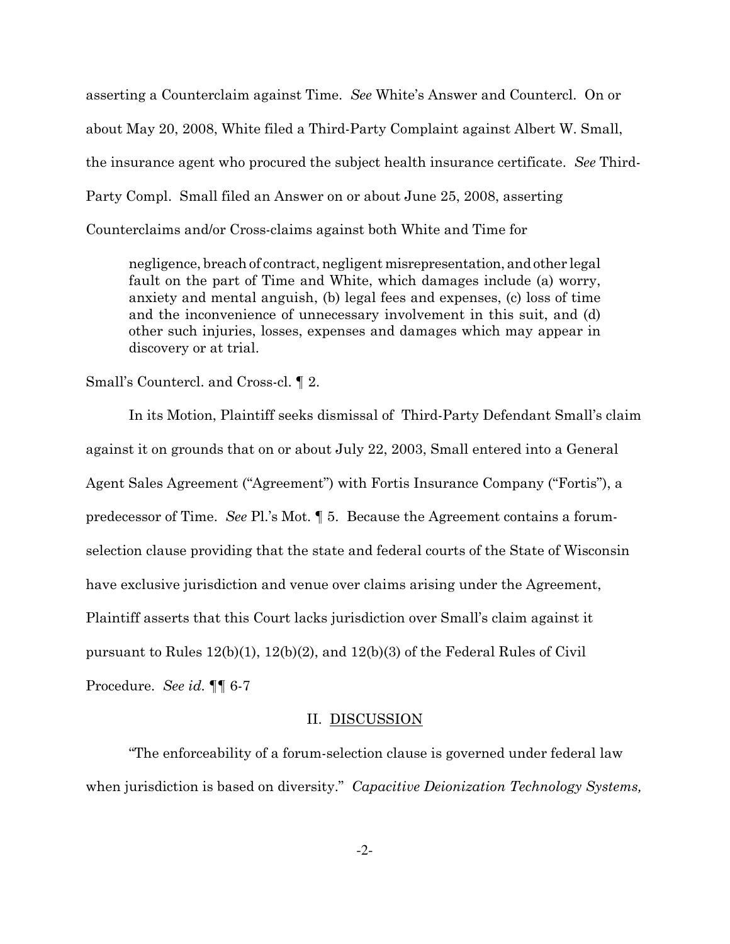asserting a Counterclaim against Time. See White's Answer and Countercl. On or about May 20, 2008, White filed a Third-Party Complaint against Albert W. Small, the insurance agent who procured the subject health insurance certificate. See Third-Party Compl. Small filed an Answer on or about June 25, 2008, asserting Counterclaims and/or Cross-claims against both White and Time for

negligence, breach of contract, negligent misrepresentation, and other legal fault on the part of Time and White, which damages include (a) worry, anxiety and mental anguish, (b) legal fees and expenses, (c) loss of time and the inconvenience of unnecessary involvement in this suit, and (d) other such injuries, losses, expenses and damages which may appear in discovery or at trial.

Small's Countercl. and Cross-cl. 1 2.

In its Motion, Plaintiff seeks dismissal of Third-Party Defendant Small's claim against it on grounds that on or about July 22, 2003, Small entered into a General Agent Sales Agreement ("Agreement") with Fortis Insurance Company ("Fortis"), a predecessor of Time. See Pl.'s Mot. 15. Because the Agreement contains a forumselection clause providing that the state and federal courts of the State of Wisconsin have exclusive jurisdiction and venue over claims arising under the Agreement, Plaintiff asserts that this Court lacks jurisdiction over Small's claim against it pursuant to Rules  $12(b)(1)$ ,  $12(b)(2)$ , and  $12(b)(3)$  of the Federal Rules of Civil Procedure. See id. ¶¶ 6-7

#### II. DISCUSSION

"The enforceability of a forum-selection clause is governed under federal law when jurisdiction is based on diversity." Capacitive Deionization Technology Systems,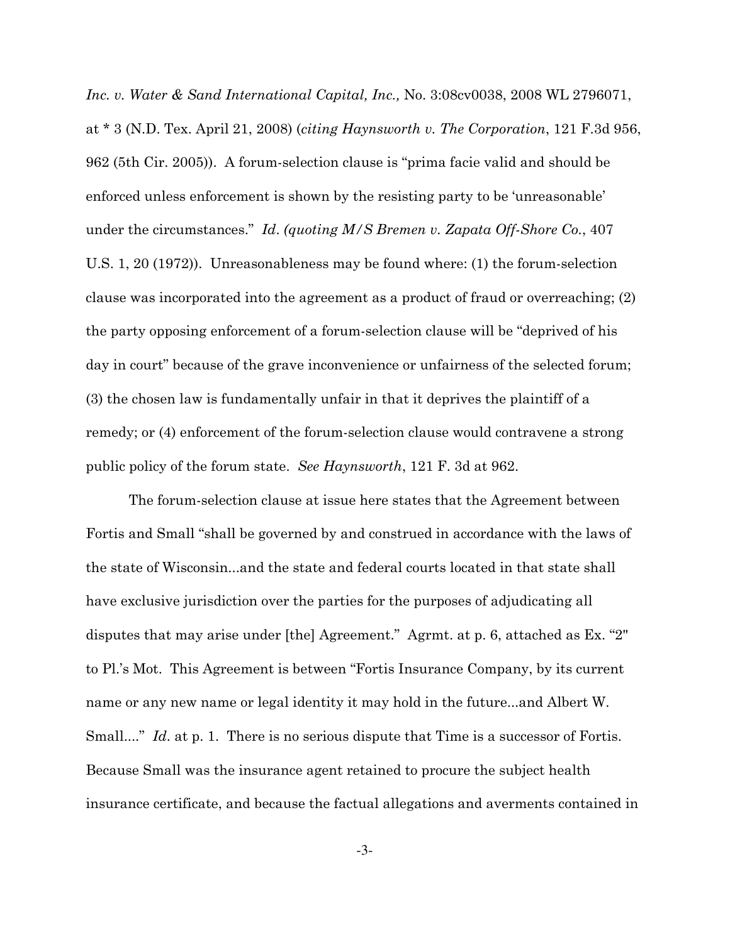Inc. v. Water & Sand International Capital, Inc., No. 3:08cv0038, 2008 WL 2796071, at \* 3 (N.D. Tex. April 21, 2008) (citing Haynsworth v. The Corporation, 121 F.3d 956, 962 (5th Cir. 2005)). A forum-selection clause is "prima facie valid and should be enforced unless enforcement is shown by the resisting party to be 'unreasonable' under the circumstances." Id. (quoting  $M/S$  Bremen v. Zapata Off-Shore Co., 407 U.S. 1, 20 (1972)). Unreasonableness may be found where: (1) the forum-selection clause was incorporated into the agreement as a product of fraud or overreaching; (2) the party opposing enforcement of a forum-selection clause will be "deprived of his day in court" because of the grave inconvenience or unfairness of the selected forum; (3) the chosen law is fundamentally unfair in that it deprives the plaintiff of a remedy; or (4) enforcement of the forum-selection clause would contravene a strong public policy of the forum state. See Haynsworth, 121 F. 3d at 962.

The forum-selection clause at issue here states that the Agreement between Fortis and Small "shall be governed by and construed in accordance with the laws of the state of Wisconsin...and the state and federal courts located in that state shall have exclusive jurisdiction over the parties for the purposes of adjudicating all disputes that may arise under [the] Agreement." Agrmt. at p. 6, attached as Ex. "2" to Pl.'s Mot. This Agreement is between "Fortis Insurance Company, by its current name or any new name or legal identity it may hold in the future...and Albert W. Small...." Id. at p. 1. There is no serious dispute that Time is a successor of Fortis. Because Small was the insurance agent retained to procure the subject health insurance certificate, and because the factual allegations and averments contained in

 $-3-$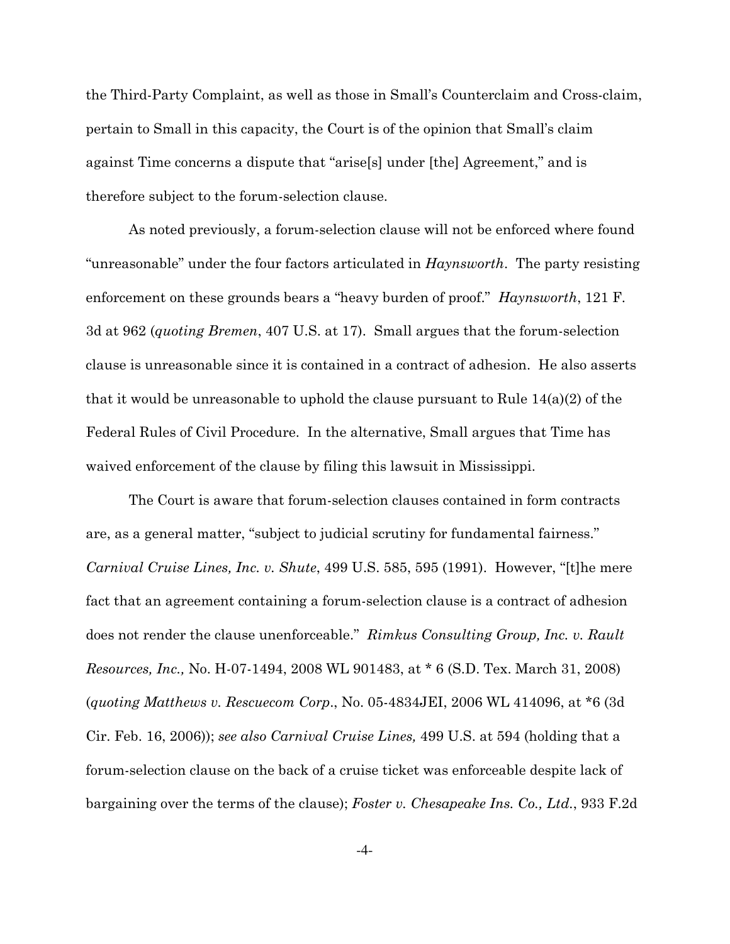the Third-Party Complaint, as well as those in Small's Counterclaim and Cross-claim, pertain to Small in this capacity, the Court is of the opinion that Small's claim against Time concerns a dispute that "arise[s] under [the] Agreement," and is therefore subject to the forum-selection clause.

As noted previously, a forum-selection clause will not be enforced where found "unreasonable" under the four factors articulated in  $Haynsworth$ . The party resisting enforcement on these grounds bears a "heavy burden of proof." *Haynsworth*, 121 F. 3d at 962 (quoting Bremen, 407 U.S. at 17). Small argues that the forum-selection clause is unreasonable since it is contained in a contract of adhesion. He also asserts that it would be unreasonable to uphold the clause pursuant to Rule  $14(a)(2)$  of the Federal Rules of Civil Procedure. In the alternative, Small argues that Time has waived enforcement of the clause by filing this lawsuit in Mississippi.

The Court is aware that forum-selection clauses contained in form contracts are, as a general matter, "subject to judicial scrutiny for fundamental fairness." *Carnival Cruise Lines, Inc. v. Shute, 499 U.S. 585, 595 (1991). However, "[t]he mere* fact that an agreement containing a forum-selection clause is a contract of adhesion does not render the clause unenforceable." Rimkus Consulting Group, Inc. v. Rault Resources, Inc., No. H-07-1494, 2008 WL 901483, at \* 6 (S.D. Tex. March 31, 2008) (quoting Matthews v. Rescuesom Corp., No. 05-4834JEI, 2006 WL 414096, at  $*6$  (3d) Cir. Feb. 16, 2006); see also Carnival Cruise Lines, 499 U.S. at 594 (holding that a forum-selection clause on the back of a cruise ticket was enforceable despite lack of bargaining over the terms of the clause); Foster v. Chesapeake Ins. Co., Ltd., 933 F.2d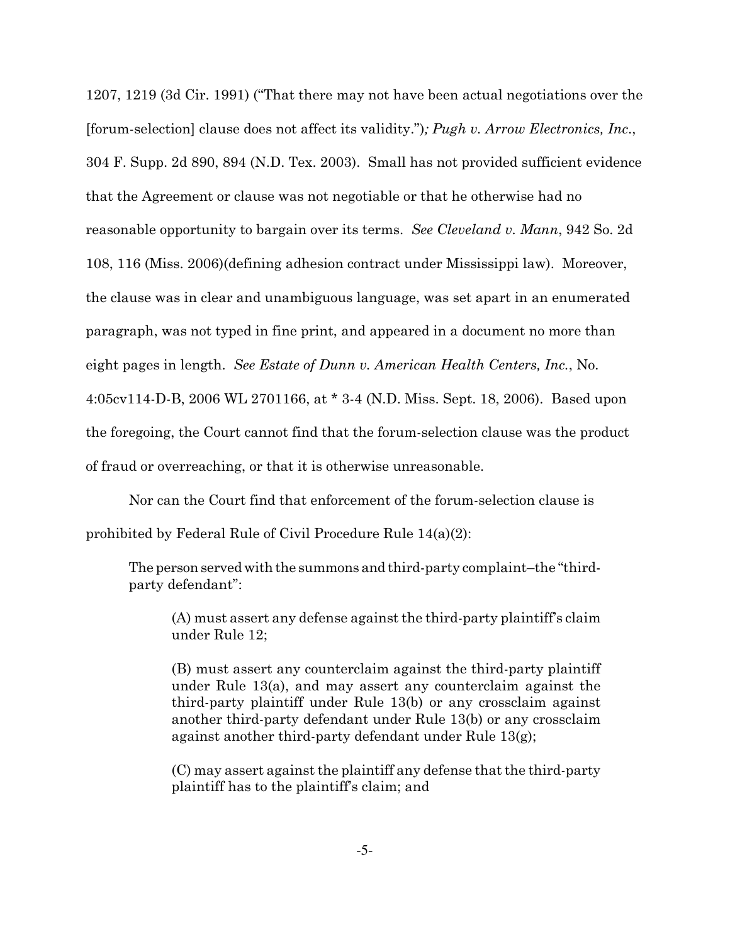1207, 1219 (3d Cir. 1991) ("That there may not have been actual negotiations over the [forum-selection] clause does not affect its validity."); Pugh v. Arrow Electronics, Inc., 304 F. Supp. 2d 890, 894 (N.D. Tex. 2003). Small has not provided sufficient evidence that the Agreement or clause was not negotiable or that he otherwise had no reasonable opportunity to bargain over its terms. See Cleveland v. Mann, 942 So. 2d 108, 116 (Miss. 2006) (defining adhesion contract under Mississippi law). Moreover, the clause was in clear and unambiguous language, was set apart in an enumerated paragraph, was not typed in fine print, and appeared in a document no more than eight pages in length. See Estate of Dunn v. American Health Centers, Inc., No. 4:05cv114-D-B, 2006 WL 2701166, at \* 3-4 (N.D. Miss. Sept. 18, 2006). Based upon the foregoing, the Court cannot find that the forum-selection clause was the product of fraud or overreaching, or that it is otherwise unreasonable.

Nor can the Court find that enforcement of the forum-selection clause is prohibited by Federal Rule of Civil Procedure Rule 14(a)(2):

The person served with the summons and third-party complaint-the "thirdparty defendant":

(A) must assert any defense against the third-party plaintiff's claim under Rule 12;

(B) must assert any counterclaim against the third-party plaintiff under Rule 13(a), and may assert any counterclaim against the third-party plaintiff under Rule 13(b) or any crossclaim against another third-party defendant under Rule 13(b) or any crossclaim against another third-party defendant under Rule 13(g);

(C) may assert against the plaintiff any defense that the third-party plaintiff has to the plaintiff's claim; and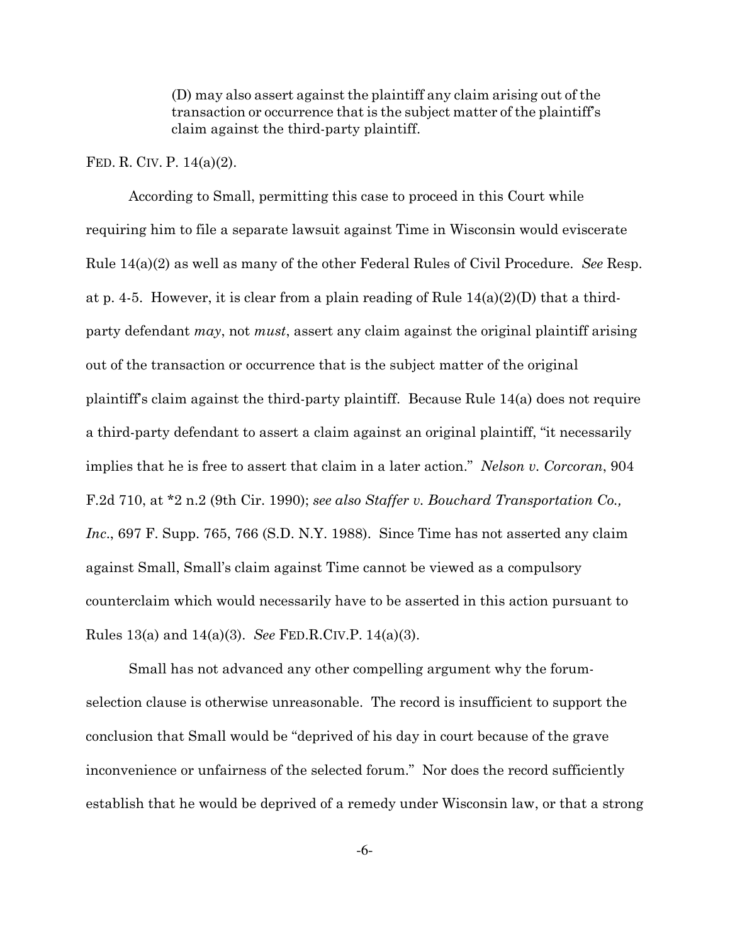(D) may also assert against the plaintiff any claim arising out of the transaction or occurrence that is the subject matter of the plaintiff's claim against the third-party plaintiff.

#### FED. R. CIV. P.  $14(a)(2)$ .

According to Small, permitting this case to proceed in this Court while requiring him to file a separate lawsuit against Time in Wisconsin would eviscerate Rule  $14(a)(2)$  as well as many of the other Federal Rules of Civil Procedure. See Resp. at p. 4-5. However, it is clear from a plain reading of Rule  $14(a)(2)(D)$  that a thirdparty defendant  $may$ , not *must*, assert any claim against the original plaintiff arising out of the transaction or occurrence that is the subject matter of the original plaintiff's claim against the third-party plaintiff. Because Rule 14(a) does not require a third-party defendant to assert a claim against an original plaintiff, "it necessarily implies that he is free to assert that claim in a later action." Nelson v. Corcoran, 904 F.2d 710, at \*2 n.2 (9th Cir. 1990); see also Staffer v. Bouchard Transportation Co., Inc., 697 F. Supp. 765, 766 (S.D. N.Y. 1988). Since Time has not asserted any claim against Small, Small's claim against Time cannot be viewed as a compulsory counterclaim which would necessarily have to be asserted in this action pursuant to Rules 13(a) and 14(a)(3). See FED.R.CIV.P. 14(a)(3).

Small has not advanced any other compelling argument why the forumselection clause is otherwise unreasonable. The record is insufficient to support the conclusion that Small would be "deprived of his day in court because of the grave inconvenience or unfairness of the selected forum." Nor does the record sufficiently establish that he would be deprived of a remedy under Wisconsin law, or that a strong

 $-6-$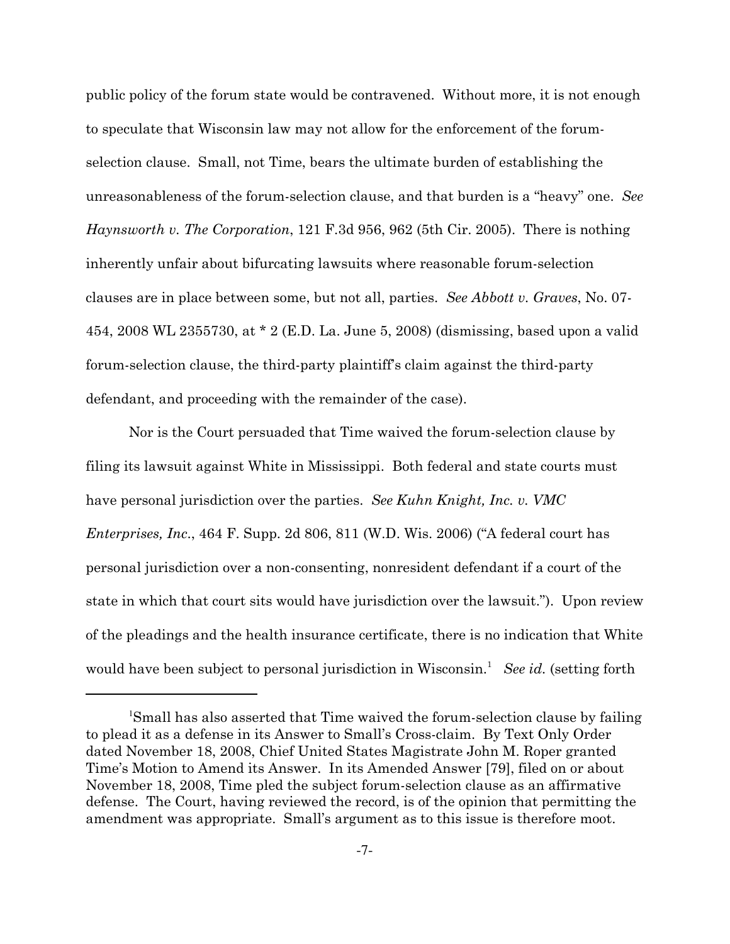public policy of the forum state would be contravened. Without more, it is not enough to speculate that Wisconsin law may not allow for the enforcement of the forumselection clause. Small, not Time, bears the ultimate burden of establishing the unreasonableness of the forum-selection clause, and that burden is a "heavy" one. See *Haynsworth v. The Corporation*, 121 F.3d 956, 962 (5th Cir. 2005). There is nothing inherently unfair about bifurcating lawsuits where reasonable forum-selection clauses are in place between some, but not all, parties. See Abbott v. Graves, No. 07-454, 2008 WL 2355730, at \* 2 (E.D. La. June 5, 2008) (dismissing, based upon a valid forum-selection clause, the third-party plaintiff's claim against the third-party defendant, and proceeding with the remainder of the case).

Nor is the Court persuaded that Time waived the forum-selection clause by filing its lawsuit against White in Mississippi. Both federal and state courts must have personal jurisdiction over the parties. See Kuhn Knight, Inc. v. VMC *Enterprises, Inc.,* 464 F. Supp. 2d 806, 811 (W.D. Wis. 2006) ("A federal court has personal jurisdiction over a non-consenting, nonresident defendant if a court of the state in which that court sits would have jurisdiction over the lawsuit."). Upon review of the pleadings and the health insurance certificate, there is no indication that White would have been subject to personal jurisdiction in Wisconsin.<sup>1</sup> See id. (setting forth

Small has also asserted that Time waived the forum-selection clause by failing to plead it as a defense in its Answer to Small's Cross-claim. By Text Only Order dated November 18, 2008, Chief United States Magistrate John M. Roper granted Time's Motion to Amend its Answer. In its Amended Answer [79], filed on or about November 18, 2008, Time pled the subject forum-selection clause as an affirmative defense. The Court, having reviewed the record, is of the opinion that permitting the amendment was appropriate. Small's argument as to this issue is therefore moot.